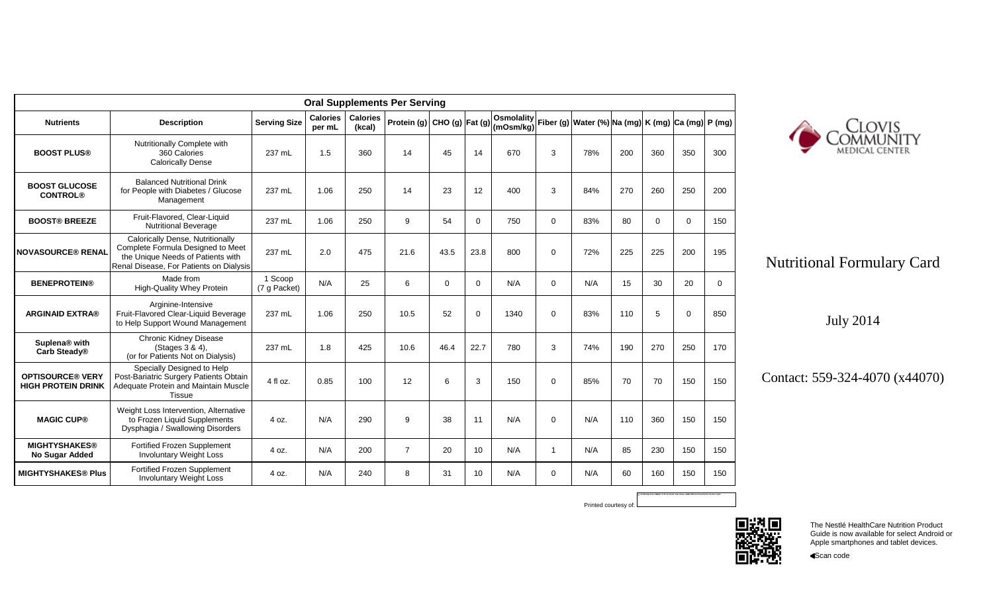| <b>Oral Supplements Per Serving</b>                  |                                                                                                                                                       |                         |                           |                           |                             |          |             |                                                                                    |              |     |     |             |             |             |
|------------------------------------------------------|-------------------------------------------------------------------------------------------------------------------------------------------------------|-------------------------|---------------------------|---------------------------|-----------------------------|----------|-------------|------------------------------------------------------------------------------------|--------------|-----|-----|-------------|-------------|-------------|
| <b>Nutrients</b>                                     | <b>Description</b>                                                                                                                                    | <b>Serving Size</b>     | <b>Calories</b><br>per mL | <b>Calories</b><br>(kcal) | Protein (g) CHO (g) Fat (g) |          |             | Osmolality <br> Cam#ra  Fiber (g) Water (%) Na (mg)  K (mg)  Ca (mg) <br>(mOsm/kg) |              |     |     |             |             | P(mg)       |
| <b>BOOST PLUS®</b>                                   | Nutritionally Complete with<br>360 Calories<br><b>Calorically Dense</b>                                                                               | 237 mL                  | 1.5                       | 360                       | 14                          | 45       | 14          | 670                                                                                | 3            | 78% | 200 | 360         | 350         | 300         |
| <b>BOOST GLUCOSE</b><br><b>CONTROL®</b>              | <b>Balanced Nutritional Drink</b><br>for People with Diabetes / Glucose<br>Management                                                                 | 237 mL                  | 1.06                      | 250                       | 14                          | 23       | 12          | 400                                                                                | 3            | 84% | 270 | 260         | 250         | 200         |
| <b>BOOST® BREEZE</b>                                 | Fruit-Flavored, Clear-Liquid<br><b>Nutritional Beverage</b>                                                                                           | 237 mL                  | 1.06                      | 250                       | 9                           | 54       | $\mathbf 0$ | 750                                                                                | $\mathbf 0$  | 83% | 80  | $\mathbf 0$ | $\mathbf 0$ | 150         |
| <b>NOVASOURCE® RENAL</b>                             | Calorically Dense, Nutritionally<br>Complete Formula Designed to Meet<br>the Unique Needs of Patients with<br>Renal Disease. For Patients on Dialysis | 237 mL                  | 2.0                       | 475                       | 21.6                        | 43.5     | 23.8        | 800                                                                                | $\mathbf 0$  | 72% | 225 | 225         | 200         | 195         |
| <b>BENEPROTEIN®</b>                                  | Made from<br><b>High-Quality Whey Protein</b>                                                                                                         | 1 Scoop<br>(7 g Packet) | N/A                       | 25                        | 6                           | $\Omega$ | $\mathbf 0$ | N/A                                                                                | $\Omega$     | N/A | 15  | 30          | 20          | $\mathbf 0$ |
| <b>ARGINAID EXTRA®</b>                               | Arginine-Intensive<br>Fruit-Flavored Clear-Liquid Beverage<br>to Help Support Wound Management                                                        | 237 mL                  | 1.06                      | 250                       | 10.5                        | 52       | $\mathbf 0$ | 1340                                                                               | $\mathbf 0$  | 83% | 110 | 5           | $\mathbf 0$ | 850         |
| Suplena® with<br>Carb Steady®                        | Chronic Kidney Disease<br>(Stages 3 & 4),<br>(or for Patients Not on Dialysis)                                                                        | 237 mL                  | 1.8                       | 425                       | 10.6                        | 46.4     | 22.7        | 780                                                                                | 3            | 74% | 190 | 270         | 250         | 170         |
| <b>OPTISOURCE® VERY</b><br><b>HIGH PROTEIN DRINK</b> | Specially Designed to Help<br>Post-Bariatric Surgery Patients Obtain<br>Adequate Protein and Maintain Muscle<br><b>Tissue</b>                         | 4 fl oz.                | 0.85                      | 100                       | 12                          | 6        | 3           | 150                                                                                | $\Omega$     | 85% | 70  | 70          | 150         | 150         |
| <b>MAGIC CUP®</b>                                    | Weight Loss Intervention, Alternative<br>to Frozen Liquid Supplements<br>Dysphagia / Swallowing Disorders                                             | 4 oz.                   | N/A                       | 290                       | 9                           | 38       | 11          | N/A                                                                                | $\mathbf 0$  | N/A | 110 | 360         | 150         | 150         |
| <b>MIGHTYSHAKES®</b><br>No Sugar Added               | Fortified Frozen Supplement<br><b>Involuntary Weight Loss</b>                                                                                         | 4 oz.                   | N/A                       | 200                       | $\overline{7}$              | 20       | 10          | N/A                                                                                | $\mathbf{1}$ | N/A | 85  | 230         | 150         | 150         |
| <b>MIGHTYSHAKES® Plus</b>                            | <b>Fortified Frozen Supplement</b><br><b>Involuntary Weight Loss</b>                                                                                  | 4 oz.                   | N/A                       | 240                       | 8                           | 31       | 10          | N/A                                                                                | $\mathbf 0$  | N/A | 60  | 160         | 150         | 150         |



## Nutritional Formulary Card

July 2014

Contact: 559-324-4070 (x44070)



Printed courtesy of:

The Nestlé HealthCare Nutrition Product Guide is now available for select Android or Apple smartphones and tablet devices.